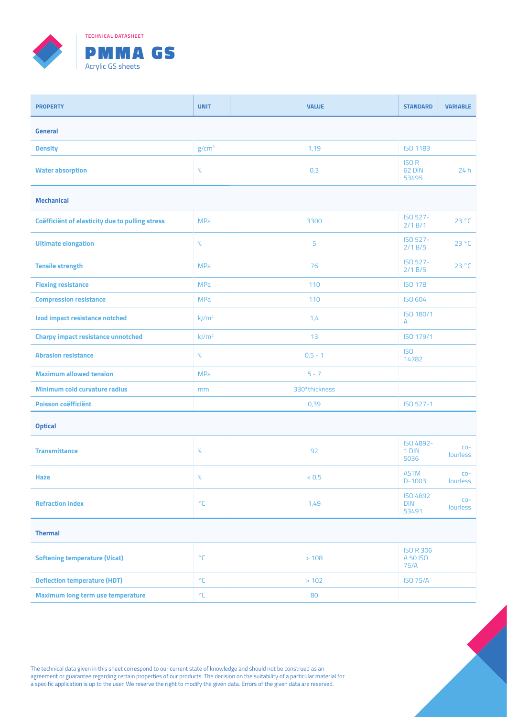

| <b>PROPERTY</b>                                 | <b>UNIT</b>       | <b>VALUE</b>  | <b>STANDARD</b>                        | <b>VARIABLE</b>    |  |  |  |
|-------------------------------------------------|-------------------|---------------|----------------------------------------|--------------------|--|--|--|
| <b>General</b>                                  |                   |               |                                        |                    |  |  |  |
| <b>Density</b>                                  | g/cm <sup>3</sup> | 1,19          | <b>ISO 1183</b>                        |                    |  |  |  |
| <b>Water absorption</b>                         | $\%$              | 0,3           | <b>ISOR</b><br>62 DIN<br>53495         | 24h                |  |  |  |
| <b>Mechanical</b>                               |                   |               |                                        |                    |  |  |  |
| Coëfficiënt of elasticity due to pulling stress | <b>MPa</b>        | 3300          | ISO 527-<br>2/1 B/1                    | 23 °C              |  |  |  |
| <b>Ultimate elongation</b>                      | $\%$              | 5             | ISO 527-<br>2/1B/5                     | 23 °C              |  |  |  |
| <b>Tensile strength</b>                         | <b>MPa</b>        | 76            | ISO 527-<br>2/1B/5                     | 23 °C              |  |  |  |
| <b>Flexing resistance</b>                       | <b>MPa</b>        | 110           | <b>ISO 178</b>                         |                    |  |  |  |
| <b>Compression resistance</b>                   | <b>MPa</b>        | 110           | <b>ISO 604</b>                         |                    |  |  |  |
| Izod impact resistance notched                  | kJ/m <sup>2</sup> | 1,4           | ISO 180/1<br>A                         |                    |  |  |  |
| <b>Charpy impact resistance unnotched</b>       | kJ/m <sup>2</sup> | 13            | ISO 179/1                              |                    |  |  |  |
| <b>Abrasion resistance</b>                      | $\%$              | $0,5 - 1$     | <b>ISO</b><br>14782                    |                    |  |  |  |
| <b>Maximum allowed tension</b>                  | <b>MPa</b>        | $5 - 7$       |                                        |                    |  |  |  |
| Minimum cold curvature radius                   | mm                | 330*thickness |                                        |                    |  |  |  |
| <b>Poisson coëfficiënt</b>                      |                   | 0,39          | ISO 527-1                              |                    |  |  |  |
| <b>Optical</b>                                  |                   |               |                                        |                    |  |  |  |
| <b>Transmittance</b>                            | $\%$              | 92            | ISO 4892-<br>1 DIN<br>5036             | $CO -$<br>lourless |  |  |  |
| Haze                                            | %                 | < 0, 5        | <b>ASTM</b><br>$D-1003$                | $CO -$<br>lourless |  |  |  |
| <b>Refraction index</b>                         | $^{\circ}$ C      | 1,49          | <b>ISO 4892</b><br><b>DIN</b><br>53491 | $CO -$<br>lourless |  |  |  |
| <b>Thermal</b>                                  |                   |               |                                        |                    |  |  |  |
| <b>Softening temperature (Vicat)</b>            | $^{\circ}$ C      | >108          | <b>ISO R 306</b><br>A 50 ISO<br>75/A   |                    |  |  |  |
| <b>Deflection temperature (HDT)</b>             | $^{\circ}$ C      | > 102         | <b>ISO 75/A</b>                        |                    |  |  |  |
| <b>Maximum long term use temperature</b>        | $^{\circ}{\sf C}$ | 80            |                                        |                    |  |  |  |